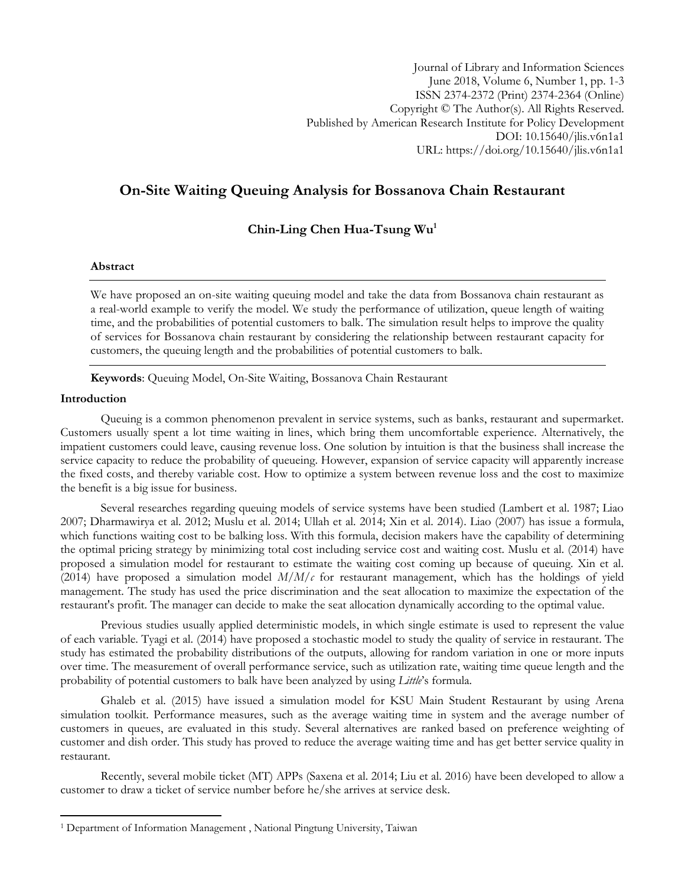# **On-Site Waiting Queuing Analysis for Bossanova Chain Restaurant**

## **Chin-Ling Chen Hua-Tsung Wu<sup>1</sup>**

## **Abstract**

We have proposed an on-site waiting queuing model and take the data from Bossanova chain restaurant as a real-world example to verify the model. We study the performance of utilization, queue length of waiting time, and the probabilities of potential customers to balk. The simulation result helps to improve the quality of services for Bossanova chain restaurant by considering the relationship between restaurant capacity for customers, the queuing length and the probabilities of potential customers to balk.

**Keywords**: Queuing Model, On-Site Waiting, Bossanova Chain Restaurant

## **Introduction**

l

Queuing is a common phenomenon prevalent in service systems, such as banks, restaurant and supermarket. Customers usually spent a lot time waiting in lines, which bring them uncomfortable experience. Alternatively, the impatient customers could leave, causing revenue loss. One solution by intuition is that the business shall increase the service capacity to reduce the probability of queueing. However, expansion of service capacity will apparently increase the fixed costs, and thereby variable cost. How to optimize a system between revenue loss and the cost to maximize the benefit is a big issue for business.

Several researches regarding queuing models of service systems have been studied (Lambert et al. 1987; Liao 2007; Dharmawirya et al. 2012; Muslu et al. 2014; Ullah et al. 2014; Xin et al. 2014). Liao (2007) has issue a formula, which functions waiting cost to be balking loss. With this formula, decision makers have the capability of determining the optimal pricing strategy by minimizing total cost including service cost and waiting cost. Muslu et al. (2014) have proposed a simulation model for restaurant to estimate the waiting cost coming up because of queuing. Xin et al. (2014) have proposed a simulation model *M*/*M*/*c* for restaurant management, which has the holdings of yield management. The study has used the price discrimination and the seat allocation to maximize the expectation of the restaurant's profit. The manager can decide to make the seat allocation dynamically according to the optimal value.

Previous studies usually applied deterministic models, in which single estimate is used to [represent](http://www.businessdictionary.com/definition/represent.html) the [value](http://www.businessdictionary.com/definition/value.html) of each variable. Tyagi et al. (2014) have proposed a stochastic model to study the quality of service in restaurant. The study has estimated the [probability distributions](https://en.wikipedia.org/wiki/Probability_distribution) of the outputs, allowing for random variation in one or more inputs over time. The measurement of overall performance service, such as utilization rate, waiting time queue length and the probability of potential customers to balk have been analyzed by using *Little*'s formula.

Ghaleb et al. (2015) have issued a simulation model for KSU Main Student Restaurant by using Arena simulation toolkit. Performance measures, such as the average waiting time in system and the average number of customers in queues, are evaluated in this study. Several alternatives are ranked based on preference weighting of customer and dish order. This study has proved to reduce the average waiting time and has get better service quality in restaurant.

Recently, several mobile ticket (MT) APPs (Saxena et al. 2014; Liu et al. 2016) have been developed to allow a customer to draw a ticket of service number before he/she arrives at service desk.

<sup>1</sup> Department of Information Management , National Pingtung University, Taiwan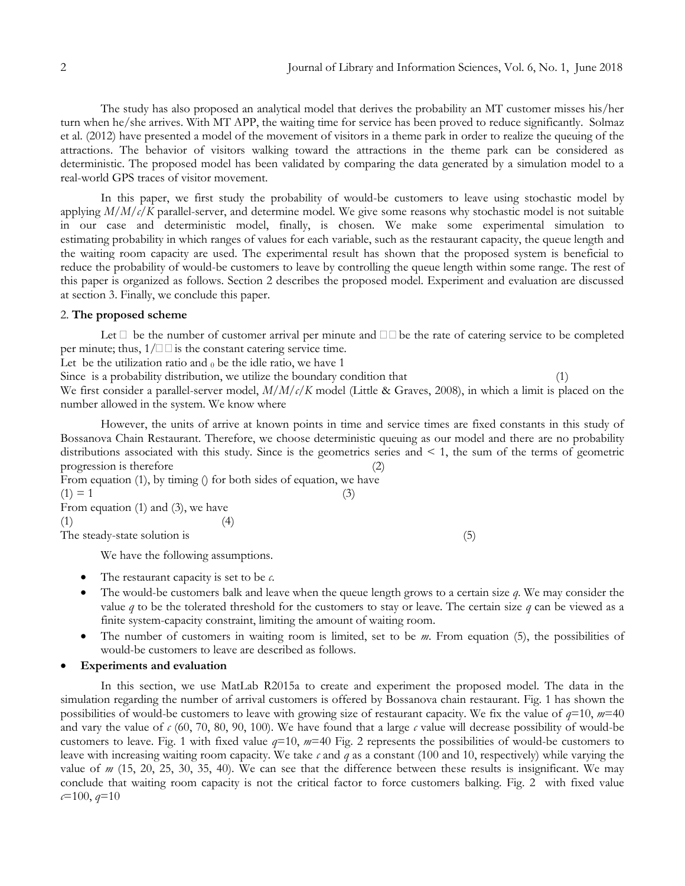The study has also proposed an analytical model that derives the probability an MT customer misses his/her turn when he/she arrives. [With MT APP, the waiting time for service has](http://www.businessdictionary.com/definition/manipulated-variable.html) been proved to reduce significantly. Solmaz et al. (2012) have presented a model of the movement of visitors in a theme park in order to realize the queuing of the attractions. The behavior of visitors walking toward the attractions in the theme park can be considered as deterministic. The proposed model has been validated by comparing the data generated by a simulation model to a real-world GPS traces of visitor movement.

In this paper, we first study the probability of would-be customers to leave using stochastic model by applying *M*/*M*/*c*/*K* parallel-server, and determine model. We give some reasons why stochastic model is not suitable in our case and deterministic model, finally, is chosen. We make some experimental simulation to estimating [probability](https://en.wikipedia.org/wiki/Probability_distribution) in which ranges of [values](http://www.businessdictionary.com/definition/values.html) for each [variable,](http://www.businessdictionary.com/definition/variable.html) such as the restaurant capacity, the queue length and the waiting room capacity are used. The experimental result has shown that the proposed system is beneficial to reduce the probability of would-be customers to leave by controlling the queue length within some range. The rest of this paper is organized as follows. Section 2 describes the proposed model. Experiment and evaluation are discussed at section 3. Finally, we conclude this paper.

#### 2. **The proposed scheme**

Let  $\Box$  be the number of customer arrival per minute and  $\Box \Box$  be the rate of catering service to be completed per minute; thus,  $1/\square \square$  is the constant catering service time.

Let be the utilization ratio and  $<sub>0</sub>$  be the idle ratio, we have 1</sub>

Since is a probability distribution, we utilize the boundary condition that (1)

We first consider a parallel-server model, *M*/*M*/*c*/*K* model (Little & Graves, 2008), in which a limit is placed on the number allowed in the system. We know where

However, the units of arrive at known points in time and service times are fixed constants in this study of Bossanova Chain Restaurant. Therefore, we choose deterministic queuing as our model and there are no probability distributions associated with this study. Since is the geometrics series and  $\leq 1$ , the sum of the terms of geometric progression is therefore

From equation (1), by timing () for both sides of equation, we have  $(1) = 1$  (3) From equation (1) and (3), we have

 $(1)$  (4)

The steady-state solution is (5)

We have the following assumptions.

- The restaurant capacity is set to be *c*.
- The would-be customers balk and leave when the queue length grows to a certain size *q*. We may consider the value *q* to be the tolerated threshold for the customers to stay or leave. The certain size *q* can be viewed as a finite system-capacity constraint, limiting the amount of waiting room.
- The number of customers in waiting room is limited, set to be *m*. From equation (5), the possibilities of would-be customers to leave are described as follows.

#### **Experiments and evaluation**

In this section, we use MatLab R2015a to create and experiment the proposed model. The data in the simulation regarding the number of arrival customers is offered by Bossanova chain restaurant. Fig. 1 has shown the possibilities of would-be customers to leave with growing size of restaurant capacity. We fix the value of *q*=10, *m*=40 and vary the value of  $c$  (60, 70, 80, 90, 100). We have found that a large  $c$  value will decrease possibility of would-be customers to leave. Fig. 1 with fixed value *q*=10, *m*=40 Fig. 2 represents the possibilities of would-be customers to leave with increasing waiting room capacity. We take *c* and *q* as a constant (100 and 10, respectively) while varying the value of *m* (15, 20, 25, 30, 35, 40). We can see that the difference between these results is insignificant. We may conclude that waiting room capacity is not the critical factor to force customers balking. Fig. 2 with fixed value *c*=100, *q*=10